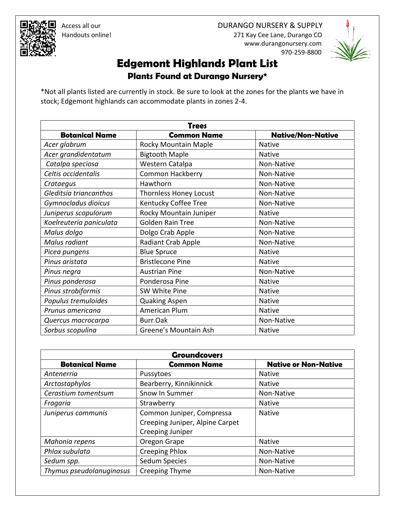



## **Edgemont Highlands Plant List**

**Plants Found at Durango Nursery\***

\*Not all plants listed are currently in stock. Be sure to look at the zones for the plants we have in stock; Edgemont highlands can accommodate plants in zones 2-4.

| <b>Trees</b>            |                               |                          |
|-------------------------|-------------------------------|--------------------------|
| <b>Botanical Name</b>   | <b>Common Name</b>            | <b>Native/Non-Native</b> |
| Acer glabrum            | Rocky Mountain Maple          | <b>Native</b>            |
| Acer grandidentatum     | <b>Bigtooth Maple</b>         | <b>Native</b>            |
| Catalpa speciosa        | Western Catalpa               | Non-Native               |
| Celtis occidentalis     | <b>Common Hackberry</b>       | Non-Native               |
| Crataegus               | Hawthorn                      | Non-Native               |
| Gleditsia triancanthos  | <b>Thornless Honey Locust</b> | Non-Native               |
| Gymnocladus dioicus     | Kentucky Coffee Tree          | Non-Native               |
| Juniperus scopulorum    | Rocky Mountain Juniper        | <b>Native</b>            |
| Koelreuteria paniculata | <b>Golden Rain Tree</b>       | Non-Native               |
| Malus dolgo             | Dolgo Crab Apple              | Non-Native               |
| Malus radiant           | Radiant Crab Apple            | Non-Native               |
| Picea pungens           | <b>Blue Spruce</b>            | <b>Native</b>            |
| Pinus aristata          | <b>Bristlecone Pine</b>       | <b>Native</b>            |
| Pinus negra             | <b>Austrian Pine</b>          | Non-Native               |
| Pinus ponderosa         | Ponderosa Pine                | <b>Native</b>            |
| Pinus strobiformis      | SW White Pine                 | <b>Native</b>            |
| Populus tremuloides     | <b>Quaking Aspen</b>          | <b>Native</b>            |
| Prunus americana        | American Plum                 | <b>Native</b>            |
| Quercus macrocarpa      | <b>Burr Oak</b>               | Non-Native               |
| Sorbus scopulina        | Greene's Mountain Ash         | <b>Native</b>            |

| <b>Groundcovers</b>      |                                 |                             |
|--------------------------|---------------------------------|-----------------------------|
| <b>Botanical Name</b>    | <b>Common Name</b>              | <b>Native or Non-Native</b> |
| Antenerria               | Pussytoes                       | <b>Native</b>               |
| Arctostaphylos           | Bearberry, Kinnikinnick         | <b>Native</b>               |
| Cerastium tomentsum      | Snow In Summer                  | Non-Native                  |
| Fragaria                 | Strawberry                      | <b>Native</b>               |
| Juniperus communis       | Common Juniper, Compressa       | <b>Native</b>               |
|                          | Creeping Juniper, Alpine Carpet |                             |
|                          | Creeping Juniper                |                             |
| Mahonia repens           | Oregon Grape                    | <b>Native</b>               |
| Phlox subulata           | <b>Creeping Phlox</b>           | Non-Native                  |
| Sedum spp.               | <b>Sedum Species</b>            | Non-Native                  |
| Thymus pseudolanuginosus | Creeping Thyme                  | Non-Native                  |

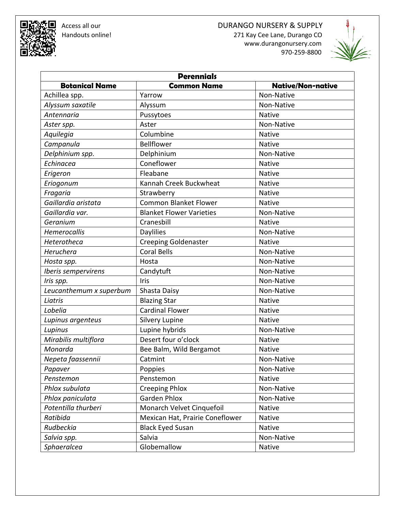## **Access all our development of the CO** DURANGO NURSERY & SUPPLY **Property and CO** DURANGO NURSERY & SUPPLY 271 Kay Cee Lane, Durango CO www.durangonursery.com

970-259-8800



| <b>Perennials</b>       |                                 |                          |
|-------------------------|---------------------------------|--------------------------|
| <b>Botanical Name</b>   | <b>Common Name</b>              | <b>Native/Non-native</b> |
| Achillea spp.           | Yarrow                          | Non-Native               |
| Alyssum saxatile        | Alyssum                         | Non-Native               |
| Antennaria              | Pussytoes                       | <b>Native</b>            |
| Aster spp.              | Aster                           | Non-Native               |
| Aquilegia               | Columbine                       | <b>Native</b>            |
| Campanula               | Bellflower                      | <b>Native</b>            |
| Delphinium spp.         | Delphinium                      | Non-Native               |
| Echinacea               | Coneflower                      | <b>Native</b>            |
| Erigeron                | Fleabane                        | <b>Native</b>            |
| Eriogonum               | Kannah Creek Buckwheat          | <b>Native</b>            |
| Fragaria                | Strawberry                      | <b>Native</b>            |
| Gaillardia aristata     | <b>Common Blanket Flower</b>    | <b>Native</b>            |
| Gaillardia var.         | <b>Blanket Flower Varieties</b> | Non-Native               |
| Geranium                | Cranesbill                      | Native                   |
| <b>Hemerocallis</b>     | <b>Daylilies</b>                | Non-Native               |
| Heterotheca             | <b>Creeping Goldenaster</b>     | <b>Native</b>            |
| Heruchera               | <b>Coral Bells</b>              | Non-Native               |
| Hosta spp.              | Hosta                           | Non-Native               |
| Iberis sempervirens     | Candytuft                       | Non-Native               |
| Iris spp.               | Iris                            | Non-Native               |
| Leucanthemum x superbum | Shasta Daisy                    | Non-Native               |
| Liatris                 | <b>Blazing Star</b>             | <b>Native</b>            |
| Lobelia                 | <b>Cardinal Flower</b>          | <b>Native</b>            |
| Lupinus argenteus       | Silvery Lupine                  | <b>Native</b>            |
| Lupinus                 | Lupine hybrids                  | Non-Native               |
| Mirabilis multiflora    | Desert four o'clock             | <b>Native</b>            |
| Monarda                 | Bee Balm, Wild Bergamot         | <b>Native</b>            |
| Nepeta faassennii       | Catmint                         | Non-Native               |
| Papaver                 | Poppies                         | Non-Native               |
| Penstemon               | Penstemon                       | Native                   |
| Phlox subulata          | <b>Creeping Phlox</b>           | Non-Native               |
| Phlox paniculata        | <b>Garden Phlox</b>             | Non-Native               |
| Potentilla thurberi     | Monarch Velvet Cinquefoil       | Native                   |
| Ratibida                | Mexican Hat, Prairie Coneflower | Native                   |
| Rudbeckia               | <b>Black Eyed Susan</b>         | Native                   |
| Salvia spp.             | Salvia                          | Non-Native               |
| Sphaeralcea             | Globemallow                     | Native                   |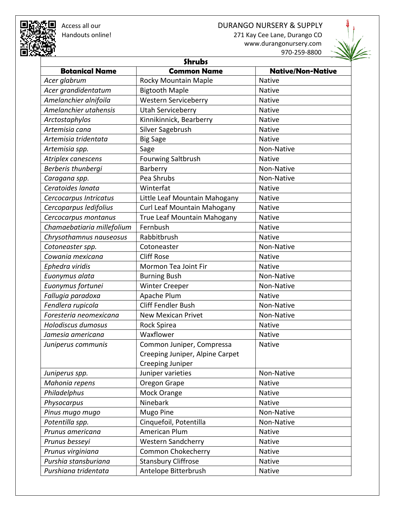## ■ Access all our and the settle of the DURANGO NURSERY & SUPPLY<br>स्ट्रे Handouts online! and the settle of the settle of the settle of the settle settle and the settle settle 271 Kay Cee Lane, Durango CO





| <b>Shrubs</b>              |                                 |                          |
|----------------------------|---------------------------------|--------------------------|
| <b>Botanical Name</b>      | <b>Common Name</b>              | <b>Native/Non-Native</b> |
| Acer glabrum               | Rocky Mountain Maple            | Native                   |
| Acer grandidentatum        | <b>Bigtooth Maple</b>           | <b>Native</b>            |
| Amelanchier alnifoila      | <b>Western Serviceberry</b>     | <b>Native</b>            |
| Amelanchier utahensis      | <b>Utah Serviceberry</b>        | <b>Native</b>            |
| Arctostaphylos             | Kinnikinnick, Bearberry         | <b>Native</b>            |
| Artemisia cana             | Silver Sagebrush                | <b>Native</b>            |
| Artemisia tridentata       | <b>Big Sage</b>                 | <b>Native</b>            |
| Artemisia spp.             | Sage                            | Non-Native               |
| Atriplex canescens         | <b>Fourwing Saltbrush</b>       | <b>Native</b>            |
| Berberis thunbergi         | Barberry                        | Non-Native               |
| Caragana spp.              | Pea Shrubs                      | Non-Native               |
| Ceratoides lanata          | Winterfat                       | <b>Native</b>            |
| Cercocarpus Intricatus     | Little Leaf Mountain Mahogany   | <b>Native</b>            |
| Cercoparpus ledifolius     | Curl Leaf Mountain Mahogany     | Native                   |
| Cercocarpus montanus       | True Leaf Mountain Mahogany     | <b>Native</b>            |
| Chamaebatiaria millefolium | Fernbush                        | Native                   |
| Chrysothamnus nauseosus    | Rabbitbrush                     | <b>Native</b>            |
| Cotoneaster spp.           | Cotoneaster                     | Non-Native               |
| Cowania mexicana           | <b>Cliff Rose</b>               | <b>Native</b>            |
| Ephedra viridis            | Mormon Tea Joint Fir            | <b>Native</b>            |
| Euonymus alata             | <b>Burning Bush</b>             | Non-Native               |
| Euonymus fortunei          | <b>Winter Creeper</b>           | Non-Native               |
| Fallugia paradoxa          | Apache Plum                     | <b>Native</b>            |
| Fendlera rupicola          | <b>Cliff Fendler Bush</b>       | Non-Native               |
| Foresteria neomexicana     | <b>New Mexican Privet</b>       | Non-Native               |
| Holodiscus dumosus         | Rock Spirea                     | <b>Native</b>            |
| Jamesia americana          | Waxflower                       | <b>Native</b>            |
| Juniperus communis         | Common Juniper, Compressa       | <b>Native</b>            |
|                            | Creeping Juniper, Alpine Carpet |                          |
|                            | Creeping Juniper                |                          |
| Juniperus spp.             | Juniper varieties               | Non-Native               |
| Mahonia repens             | Oregon Grape                    | <b>Native</b>            |
| Philadelphus               | Mock Orange                     | <b>Native</b>            |
| Physocarpus                | Ninebark                        | <b>Native</b>            |
| Pinus mugo mugo            | Mugo Pine                       | Non-Native               |
| Potentilla spp.            | Cinquefoil, Potentilla          | Non-Native               |
| Prunus americana           | American Plum                   | Native                   |
| Prunus besseyi             | <b>Western Sandcherry</b>       | Native                   |
| Prunus virginiana          | Common Chokecherry              | Native                   |
| Purshia stansburiana       | <b>Stansbury Cliffrose</b>      | <b>Native</b>            |
| Purshiana tridentata       | Antelope Bitterbrush            | Native                   |